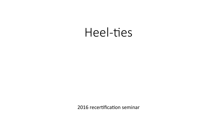# Heel-ties

2016 recertification seminar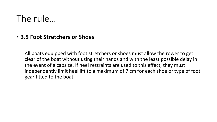### The rule…

#### • **3.5 Foot Stretchers or Shoes**

All boats equipped with foot stretchers or shoes must allow the rower to get clear of the boat without using their hands and with the least possible delay in the event of a capsize. If heel restraints are used to this effect, they must independently limit heel lift to a maximum of 7 cm for each shoe or type of foot gear fitted to the boat.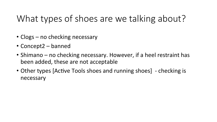# What types of shoes are we talking about?

- Clogs  $-$  no checking necessary
- Concept2 banned
- Shimano  $-$  no checking necessary. However, if a heel restraint has been added, these are not acceptable
- Other types [Active Tools shoes and running shoes] checking is necessary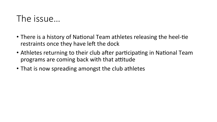### The issue...

- There is a history of National Team athletes releasing the heel-tie restraints once they have left the dock
- Athletes returning to their club after participating in National Team programs are coming back with that attitude
- That is now spreading amongst the club athletes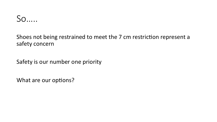

Shoes not being restrained to meet the 7 cm restriction represent a safety concern

Safety is our number one priority

What are our options?